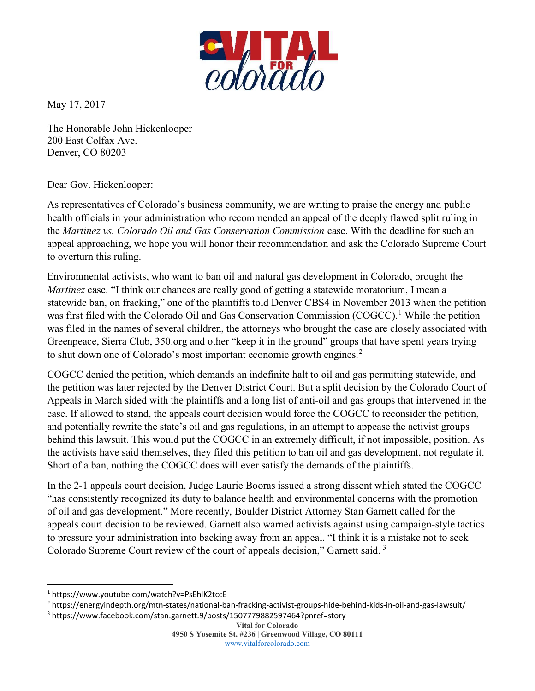

May 17, 2017

The Honorable John Hickenlooper 200 East Colfax Ave. Denver, CO 80203

## Dear Gov. Hickenlooper:

As representatives of Colorado's business community, we are writing to praise the energy and public health officials in your administration who recommended an appeal of the deeply flawed split ruling in the Martinez vs. Colorado Oil and Gas Conservation Commission case. With the deadline for such an appeal approaching, we hope you will honor their recommendation and ask the Colorado Supreme Court to overturn this ruling.

Environmental activists, who want to ban oil and natural gas development in Colorado, brought the Martinez case. "I think our chances are really good of getting a statewide moratorium, I mean a statewide ban, on fracking," one of the plaintiffs told Denver CBS4 in November 2013 when the petition was first filed with the Colorado Oil and Gas Conservation Commission (COGCC).<sup>1</sup> While the petition was filed in the names of several children, the attorneys who brought the case are closely associated with Greenpeace, Sierra Club, 350.org and other "keep it in the ground" groups that have spent years trying to shut down one of Colorado's most important economic growth engines.<sup>2</sup>

COGCC denied the petition, which demands an indefinite halt to oil and gas permitting statewide, and the petition was later rejected by the Denver District Court. But a split decision by the Colorado Court of Appeals in March sided with the plaintiffs and a long list of anti-oil and gas groups that intervened in the case. If allowed to stand, the appeals court decision would force the COGCC to reconsider the petition, and potentially rewrite the state's oil and gas regulations, in an attempt to appease the activist groups behind this lawsuit. This would put the COGCC in an extremely difficult, if not impossible, position. As the activists have said themselves, they filed this petition to ban oil and gas development, not regulate it. Short of a ban, nothing the COGCC does will ever satisfy the demands of the plaintiffs.

In the 2-1 appeals court decision, Judge Laurie Booras issued a strong dissent which stated the COGCC "has consistently recognized its duty to balance health and environmental concerns with the promotion of oil and gas development." More recently, Boulder District Attorney Stan Garnett called for the appeals court decision to be reviewed. Garnett also warned activists against using campaign-style tactics to pressure your administration into backing away from an appeal. "I think it is a mistake not to seek Colorado Supreme Court review of the court of appeals decision," Garnett said.<sup>3</sup>

 $\overline{a}$ 

3 https://www.facebook.com/stan.garnett.9/posts/1507779882597464?pnref=story

Vital for Colorado 4950 S Yosemite St. #236 | Greenwood Village, CO 80111 www.vitalforcolorado.com

<sup>1</sup> https://www.youtube.com/watch?v=PsEhlK2tccE

<sup>2</sup> https://energyindepth.org/mtn-states/national-ban-fracking-activist-groups-hide-behind-kids-in-oil-and-gas-lawsuit/